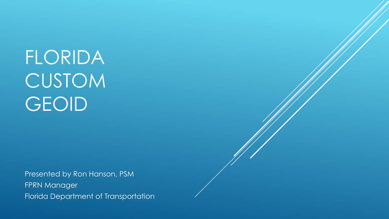Presented by Ron Hanson, PSM **FPRN** Manager Florida Department of Transportation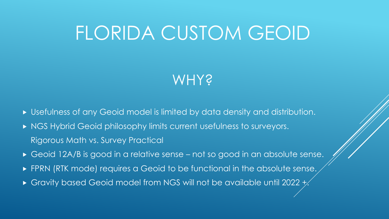### **WHY?**

- Usefulness of any Geoid model is limited by data density and distribution.
- NGS Hybrid Geoid philosophy limits current usefulness to surveyors. Rigorous Math vs. Survey Practical
- Geoid 12A/B is good in a relative sense not so good in an absolute sense.
- **FPRN (RTK mode) requires a Geoid to be functional in the absolute sense.**
- Gravity based Geoid model from NGS will not be available until 2022 +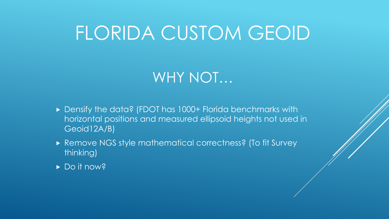### WHY NOT…

- Densify the data? (FDOT has 1000+ Florida benchmarks with horizontal positions and measured ellipsoid heights not used in Geoid12A/B)
- Remove NGS style mathematical correctness? (To fit Survey thinking)
- Do it now?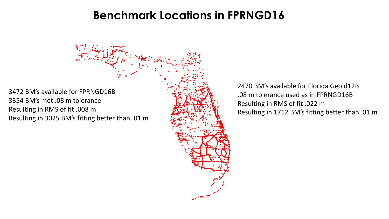### **Benchmark Locations in FPRNGD16**

3472 BM's available for FPRNGD16B 3354 BM's met .08 m tolerance Resulting in RMS of fit .008 m Resulting in 3025 BM's fitting better than .01 m

2470 BM's available for Florida Geoid12B .08 m tolerance used as in FPRNGD16B Resulting in RMS of fit .022 m Resulting in 1712 BM's fitting better than .01 m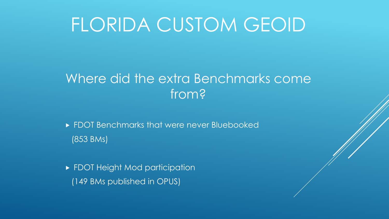### Where did the extra Benchmarks come from?

- **FDOT Benchmarks that were never Bluebooked** (853 BMs)
- **FDOT Height Mod participation** (149 BMs published in OPUS)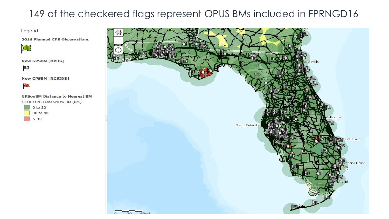#### 149 of the checkered flags represent OPUS BMs included in FPRNGD16

Legend

2016 Planned GPS Observations



**New GPSBM [OPUS]** 

p

**New GPSBM [NGSIDB]** 



#### **GPSonBM Distance to Nearest BM**

GEOID12B Distance to BM (km)



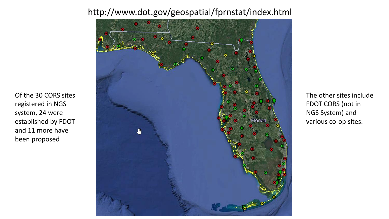#### http://www.dot.gov/geospatial/fprnstat/index.html



Of the 30 CORS sites

established by FDOT

and 11 more have

been proposed

registered in NGS

system, 24 were

The other sites include FDOT CORS (not in NGS System) and various co-op sites.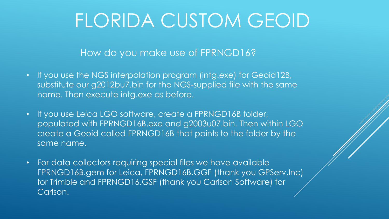How do you make use of FPRNGD16?

- If you use the NGS interpolation program (intg.exe) for Geoid12B, substitute our g2012bu7.bin for the NGS-supplied file with the same name. Then execute intg.exe as before.
- If you use Leica LGO software, create a FPRNGD16B folder, populated with FPRNGD16B.exe and g2003u07.bin. Then within LGO create a Geoid called FPRNGD16B that points to the folder by the same name.
- For data collectors requiring special files we have available FPRNGD16B.gem for Leica, FPRNGD16B.GGF (thank you GPServ.Inc) for Trimble and FPRNGD16.GSF (thank you Carlson Software) for Carlson.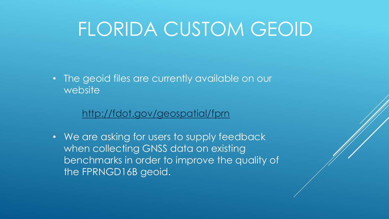• The geoid files are currently available on our website

#### <http://fdot.gov/geospatial/fprn>

• We are asking for users to supply feedback when collecting GNSS data on existing benchmarks in order to improve the quality of the FPRNGD16B geoid.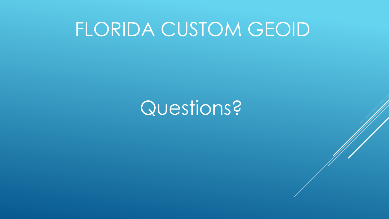### Questions?